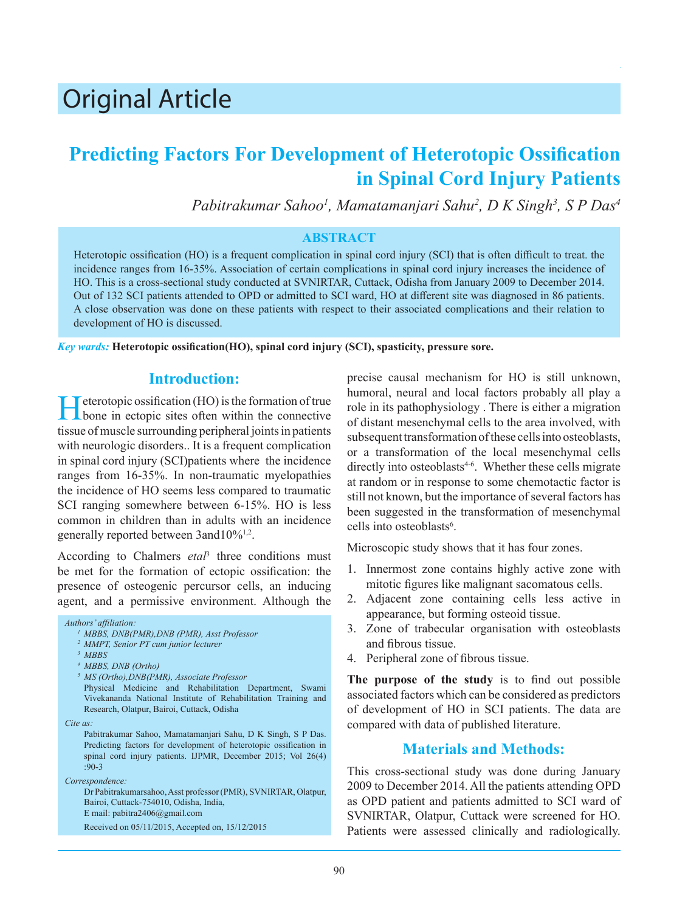# Original Article

## **Predicting Factors For Development of Heterotopic Ossification in Spinal Cord Injury Patients**

*Pabitrakumar Sahoo1 , Mamatamanjari Sahu2 , D K Singh3 , S P Das4*

#### **ABSTRACT**

Heterotopic ossification (HO) is a frequent complication in spinal cord injury (SCI) that is often difficult to treat. the incidence ranges from 16-35%. Association of certain complications in spinal cord injury increases the incidence of HO. This is a cross-sectional study conducted at SVNIRTAR, Cuttack, Odisha from January 2009 to December 2014. Out of 132 SCI patients attended to OPD or admitted to SCI ward, HO at different site was diagnosed in 86 patients. A close observation was done on these patients with respect to their associated complications and their relation to development of HO is discussed.

*Key wards:* **Heterotopic ossification(HO), spinal cord injury (SCI), spasticity, pressure sore.**

#### **Introduction:**

Heterotopic ossification (HO) is the formation of true<br>bone in ectopic sites often within the connective tissue of muscle surrounding peripheral joints in patients with neurologic disorders.. It is a frequent complication in spinal cord injury (SCI)patients where the incidence ranges from 16-35%. In non-traumatic myelopathies the incidence of HO seems less compared to traumatic SCI ranging somewhere between 6-15%. HO is less common in children than in adults with an incidence generally reported between 3and10%<sup>1,2</sup>.

According to Chalmers *etal*<sup>3</sup> three conditions must be met for the formation of ectopic ossification: the presence of osteogenic percursor cells, an inducing agent, and a permissive environment. Although the

#### *Authors' affiliation:*

- *1 MBBS, DNB(PMR),DNB (PMR), Asst Professor*
- *<sup>2</sup>MMPT, Senior PT cum junior lecturer*
- *3 MBBS*
- *4 MBBS, DNB (Ortho)*
- *5 MS (Ortho),DNB(PMR), Associate Professor*
- Physical Medicine and Rehabilitation Department, Swami Vivekananda National Institute of Rehabilitation Training and Research, Olatpur, Bairoi, Cuttack, Odisha
- *Cite as:*

Pabitrakumar Sahoo, Mamatamanjari Sahu, D K Singh, S P Das. Predicting factors for development of heterotopic ossification in spinal cord injury patients. IJPMR, December 2015; Vol 26(4) :90-3

*Correspondence:*

Dr Pabitrakumarsahoo, Asst professor (PMR), SVNIRTAR, Olatpur, Bairoi, Cuttack-754010, Odisha, India, E mail: pabitra2406@gmail.com

Received on 05/11/2015, Accepted on, 15/12/2015

precise causal mechanism for HO is still unknown, humoral, neural and local factors probably all play a role in its pathophysiology . There is either a migration of distant mesenchymal cells to the area involved, with subsequent transformation of these cells into osteoblasts, or a transformation of the local mesenchymal cells directly into osteoblasts<sup> $4-6$ </sup>. Whether these cells migrate at random or in response to some chemotactic factor is still not known, but the importance of several factors has been suggested in the transformation of mesenchymal cells into osteoblasts<sup>6</sup>.

Microscopic study shows that it has four zones.

- 1. Innermost zone contains highly active zone with mitotic figures like malignant sacomatous cells.
- 2. Adjacent zone containing cells less active in appearance, but forming osteoid tissue.
- 3. Zone of trabecular organisation with osteoblasts and fibrous tissue.
- 4. Peripheral zone of fibrous tissue.

**The purpose of the study** is to find out possible associated factors which can be considered as predictors of development of HO in SCI patients. The data are compared with data of published literature.

### **Materials and Methods:**

This cross-sectional study was done during January 2009 to December 2014. All the patients attending OPD as OPD patient and patients admitted to SCI ward of SVNIRTAR, Olatpur, Cuttack were screened for HO. Patients were assessed clinically and radiologically.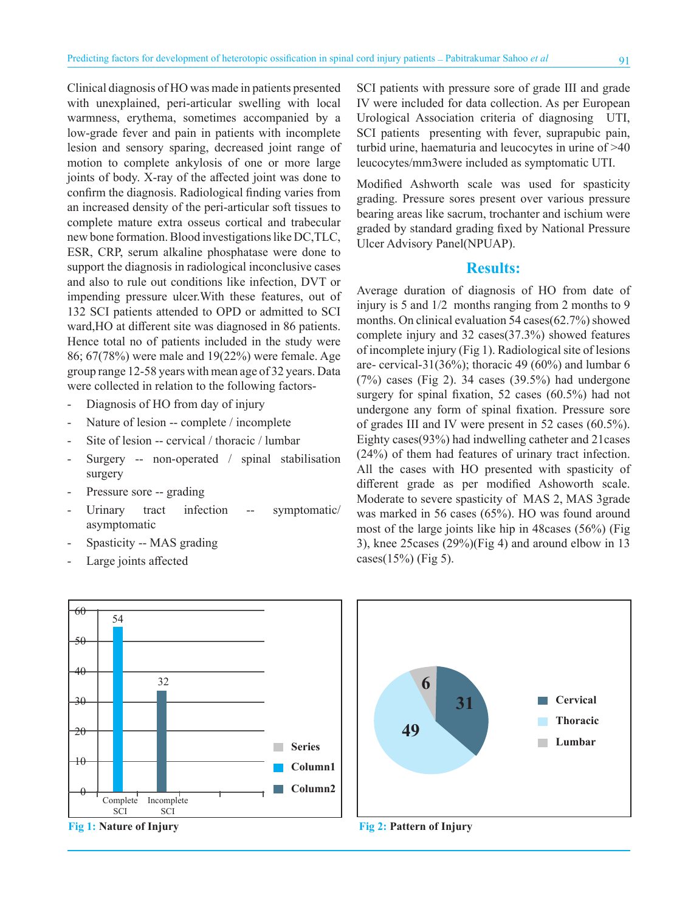Clinical diagnosis of HO was made in patients presented with unexplained, peri-articular swelling with local warmness, erythema, sometimes accompanied by a low-grade fever and pain in patients with incomplete lesion and sensory sparing, decreased joint range of motion to complete ankylosis of one or more large joints of body. X-ray of the affected joint was done to confirm the diagnosis. Radiological finding varies from an increased density of the peri-articular soft tissues to complete mature extra osseus cortical and trabecular new bone formation. Blood investigations like DC,TLC, ESR, CRP, serum alkaline phosphatase were done to support the diagnosis in radiological inconclusive cases and also to rule out conditions like infection, DVT or impending pressure ulcer.With these features, out of 132 SCI patients attended to OPD or admitted to SCI ward,HO at different site was diagnosed in 86 patients. Hence total no of patients included in the study were 86; 67(78%) were male and 19(22%) were female. Age group range 12-58 years with mean age of 32 years. Data were collected in relation to the following factors-

- Diagnosis of HO from day of injury
- Nature of lesion -- complete / incomplete
- Site of lesion -- cervical / thoracic / lumbar
- Surgery -- non-operated / spinal stabilisation surgery
- Pressure sore -- grading
- Urinary tract infection -- symptomatic/ asymptomatic
- Spasticity -- MAS grading
- Large joints affected



**Fig 1: Nature of Injury**

SCI patients with pressure sore of grade III and grade IV were included for data collection. As per European Urological Association criteria of diagnosing UTI, SCI patients presenting with fever, suprapubic pain, turbid urine, haematuria and leucocytes in urine of >40 leucocytes/mm3were included as symptomatic UTI.

Modified Ashworth scale was used for spasticity grading. Pressure sores present over various pressure bearing areas like sacrum, trochanter and ischium were graded by standard grading fixed by National Pressure Ulcer Advisory Panel(NPUAP).

#### **Results:**

Average duration of diagnosis of HO from date of injury is 5 and  $1/2$  months ranging from 2 months to 9 months. On clinical evaluation 54 cases(62.7%) showed complete injury and 32 cases(37.3%) showed features of incomplete injury (Fig 1). Radiological site of lesions are- cervical-31(36%); thoracic 49 (60%) and lumbar 6  $(7%)$  cases (Fig 2). 34 cases  $(39.5%)$  had undergone surgery for spinal fixation, 52 cases (60.5%) had not undergone any form of spinal fixation. Pressure sore of grades III and IV were present in 52 cases (60.5%). Eighty cases(93%) had indwelling catheter and 21cases (24%) of them had features of urinary tract infection. All the cases with HO presented with spasticity of different grade as per modified Ashoworth scale. Moderate to severe spasticity of MAS 2, MAS 3grade was marked in 56 cases (65%). HO was found around most of the large joints like hip in 48cases (56%) (Fig 3), knee 25cases (29%)(Fig 4) and around elbow in 13 cases $(15%)$  (Fig 5).



**Fig 2: Pattern of Injury**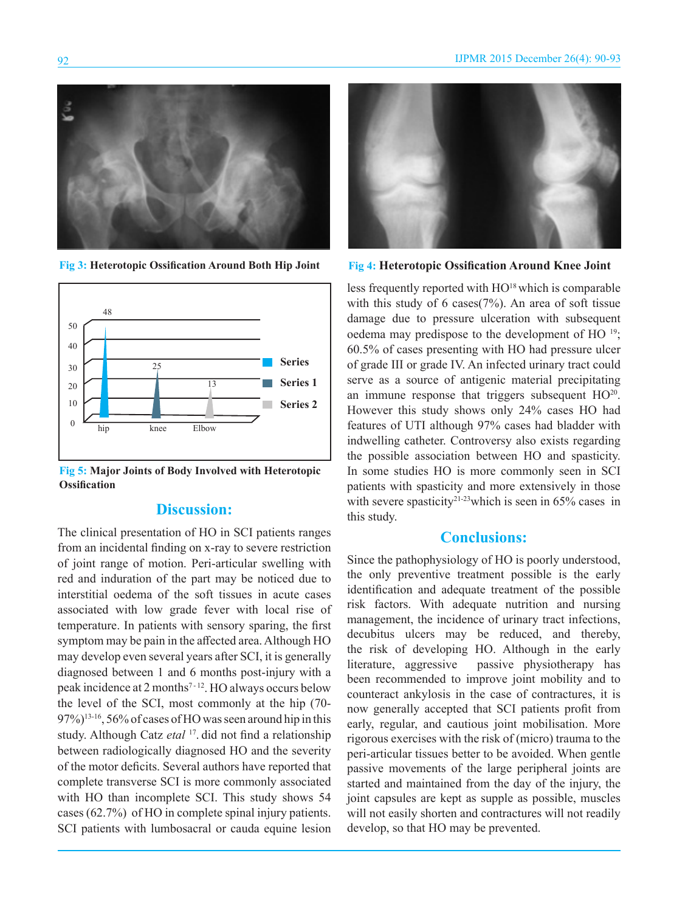

**Fig 3: Heterotopic Ossification Around Both Hip Joint Fig 4: Heterotopic Ossification Around Knee Joint**



**Fig 5: Major Joints of Body Involved with Heterotopic Ossification**

#### **Discussion:**

The clinical presentation of HO in SCI patients ranges from an incidental finding on x-ray to severe restriction of joint range of motion. Peri-articular swelling with red and induration of the part may be noticed due to interstitial oedema of the soft tissues in acute cases associated with low grade fever with local rise of temperature. In patients with sensory sparing, the first symptom may be pain in the affected area. Although HO may develop even several years after SCI, it is generally diagnosed between 1 and 6 months post-injury with a peak incidence at 2 months<sup>7-12</sup>. HO always occurs below the level of the SCI, most commonly at the hip (70- 97%)<sup>13-16</sup>, 56% of cases of HO was seen around hip in this study. Although Catz *etal* <sup>17</sup>. did not find a relationship between radiologically diagnosed HO and the severity of the motor deficits. Several authors have reported that complete transverse SCI is more commonly associated with HO than incomplete SCI. This study shows 54 cases (62.7%) of HO in complete spinal injury patients. SCI patients with lumbosacral or cauda equine lesion



less frequently reported with  $HO^{18}$  which is comparable with this study of 6 cases(7%). An area of soft tissue damage due to pressure ulceration with subsequent oedema may predispose to the development of HO 19; 60.5% of cases presenting with HO had pressure ulcer of grade III or grade IV. An infected urinary tract could serve as a source of antigenic material precipitating an immune response that triggers subsequent HO<sup>20</sup>. However this study shows only 24% cases HO had features of UTI although 97% cases had bladder with indwelling catheter. Controversy also exists regarding the possible association between HO and spasticity. In some studies HO is more commonly seen in SCI patients with spasticity and more extensively in those with severe spasticity<sup>21-23</sup>which is seen in  $65\%$  cases in this study.

### **Conclusions:**

Since the pathophysiology of HO is poorly understood, the only preventive treatment possible is the early identification and adequate treatment of the possible risk factors. With adequate nutrition and nursing management, the incidence of urinary tract infections, decubitus ulcers may be reduced, and thereby, the risk of developing HO. Although in the early literature, aggressive passive physiotherapy has been recommended to improve joint mobility and to counteract ankylosis in the case of contractures, it is now generally accepted that SCI patients profit from early, regular, and cautious joint mobilisation. More rigorous exercises with the risk of (micro) trauma to the peri-articular tissues better to be avoided. When gentle passive movements of the large peripheral joints are started and maintained from the day of the injury, the joint capsules are kept as supple as possible, muscles will not easily shorten and contractures will not readily develop, so that HO may be prevented.